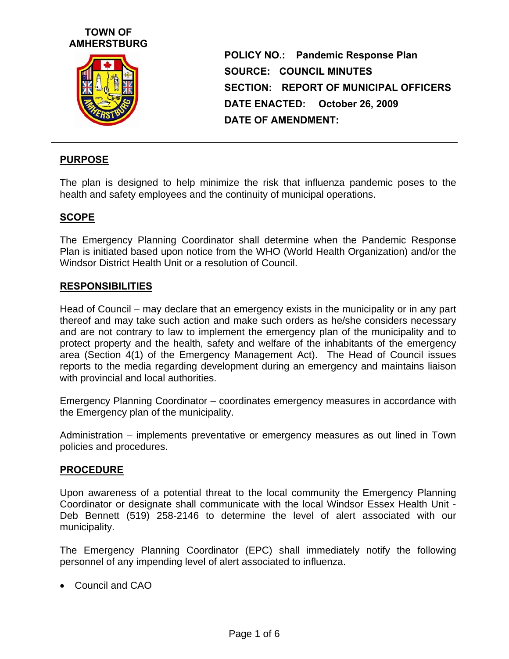



**POLICY NO.: Pandemic Response Plan SOURCE: COUNCIL MINUTES SECTION: REPORT OF MUNICIPAL OFFICERS DATE ENACTED: October 26, 2009 DATE OF AMENDMENT:** 

### **PURPOSE**

The plan is designed to help minimize the risk that influenza pandemic poses to the health and safety employees and the continuity of municipal operations.

### **SCOPE**

The Emergency Planning Coordinator shall determine when the Pandemic Response Plan is initiated based upon notice from the WHO (World Health Organization) and/or the Windsor District Health Unit or a resolution of Council.

#### **RESPONSIBILITIES**

Head of Council – may declare that an emergency exists in the municipality or in any part thereof and may take such action and make such orders as he/she considers necessary and are not contrary to law to implement the emergency plan of the municipality and to protect property and the health, safety and welfare of the inhabitants of the emergency area (Section 4(1) of the Emergency Management Act). The Head of Council issues reports to the media regarding development during an emergency and maintains liaison with provincial and local authorities.

Emergency Planning Coordinator – coordinates emergency measures in accordance with the Emergency plan of the municipality.

Administration – implements preventative or emergency measures as out lined in Town policies and procedures.

#### **PROCEDURE**

Upon awareness of a potential threat to the local community the Emergency Planning Coordinator or designate shall communicate with the local Windsor Essex Health Unit - Deb Bennett (519) 258-2146 to determine the level of alert associated with our municipality.

The Emergency Planning Coordinator (EPC) shall immediately notify the following personnel of any impending level of alert associated to influenza.

Council and CAO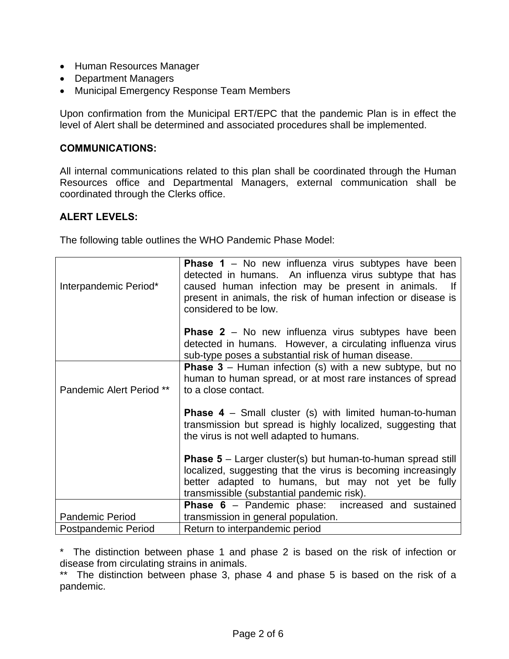- Human Resources Manager
- Department Managers
- Municipal Emergency Response Team Members

Upon confirmation from the Municipal ERT/EPC that the pandemic Plan is in effect the level of Alert shall be determined and associated procedures shall be implemented.

### **COMMUNICATIONS:**

All internal communications related to this plan shall be coordinated through the Human Resources office and Departmental Managers, external communication shall be coordinated through the Clerks office.

## **ALERT LEVELS:**

The following table outlines the WHO Pandemic Phase Model:

| Interpandemic Period*      | <b>Phase 1</b> – No new influenza virus subtypes have been<br>detected in humans. An influenza virus subtype that has<br>caused human infection may be present in animals.<br>- If<br>present in animals, the risk of human infection or disease is<br>considered to be low. |
|----------------------------|------------------------------------------------------------------------------------------------------------------------------------------------------------------------------------------------------------------------------------------------------------------------------|
|                            | <b>Phase 2</b> – No new influenza virus subtypes have been<br>detected in humans. However, a circulating influenza virus<br>sub-type poses a substantial risk of human disease.                                                                                              |
| Pandemic Alert Period **   | <b>Phase 3</b> – Human infection (s) with a new subtype, but no<br>human to human spread, or at most rare instances of spread<br>to a close contact.                                                                                                                         |
|                            | <b>Phase 4</b> – Small cluster (s) with limited human-to-human<br>transmission but spread is highly localized, suggesting that<br>the virus is not well adapted to humans.                                                                                                   |
|                            | <b>Phase 5</b> – Larger cluster(s) but human-to-human spread still<br>localized, suggesting that the virus is becoming increasingly<br>better adapted to humans, but may not yet be fully<br>transmissible (substantial pandemic risk).                                      |
| <b>Pandemic Period</b>     | <b>Phase 6</b> – Pandemic phase: increased and sustained<br>transmission in general population.                                                                                                                                                                              |
| <b>Postpandemic Period</b> | Return to interpandemic period                                                                                                                                                                                                                                               |

\* The distinction between phase 1 and phase 2 is based on the risk of infection or disease from circulating strains in animals.

\*\* The distinction between phase 3, phase 4 and phase 5 is based on the risk of a pandemic.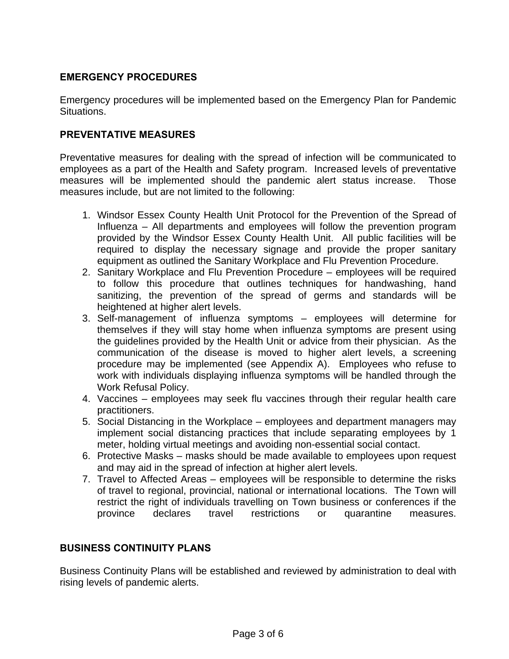## **EMERGENCY PROCEDURES**

Emergency procedures will be implemented based on the Emergency Plan for Pandemic Situations.

## **PREVENTATIVE MEASURES**

Preventative measures for dealing with the spread of infection will be communicated to employees as a part of the Health and Safety program. Increased levels of preventative measures will be implemented should the pandemic alert status increase. Those measures include, but are not limited to the following:

- 1. Windsor Essex County Health Unit Protocol for the Prevention of the Spread of Influenza – All departments and employees will follow the prevention program provided by the Windsor Essex County Health Unit. All public facilities will be required to display the necessary signage and provide the proper sanitary equipment as outlined the Sanitary Workplace and Flu Prevention Procedure.
- 2. Sanitary Workplace and Flu Prevention Procedure employees will be required to follow this procedure that outlines techniques for handwashing, hand sanitizing, the prevention of the spread of germs and standards will be heightened at higher alert levels.
- 3. Self-management of influenza symptoms employees will determine for themselves if they will stay home when influenza symptoms are present using the guidelines provided by the Health Unit or advice from their physician. As the communication of the disease is moved to higher alert levels, a screening procedure may be implemented (see Appendix A). Employees who refuse to work with individuals displaying influenza symptoms will be handled through the Work Refusal Policy.
- 4. Vaccines employees may seek flu vaccines through their regular health care practitioners.
- 5. Social Distancing in the Workplace employees and department managers may implement social distancing practices that include separating employees by 1 meter, holding virtual meetings and avoiding non-essential social contact.
- 6. Protective Masks masks should be made available to employees upon request and may aid in the spread of infection at higher alert levels.
- 7. Travel to Affected Areas employees will be responsible to determine the risks of travel to regional, provincial, national or international locations. The Town will restrict the right of individuals travelling on Town business or conferences if the province declares travel restrictions or quarantine measures.

## **BUSINESS CONTINUITY PLANS**

Business Continuity Plans will be established and reviewed by administration to deal with rising levels of pandemic alerts.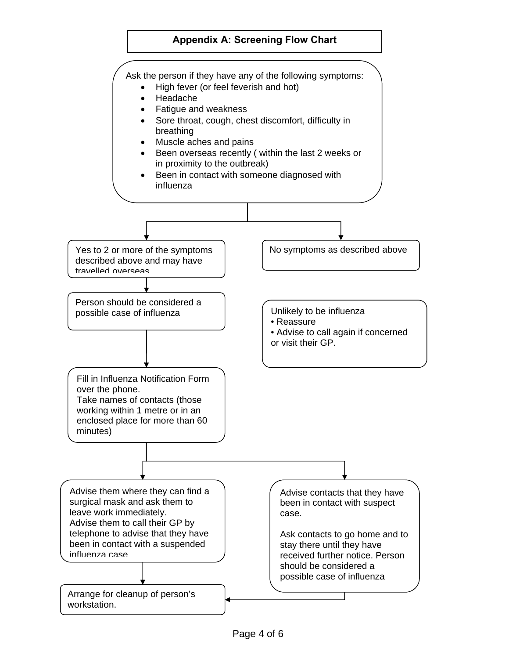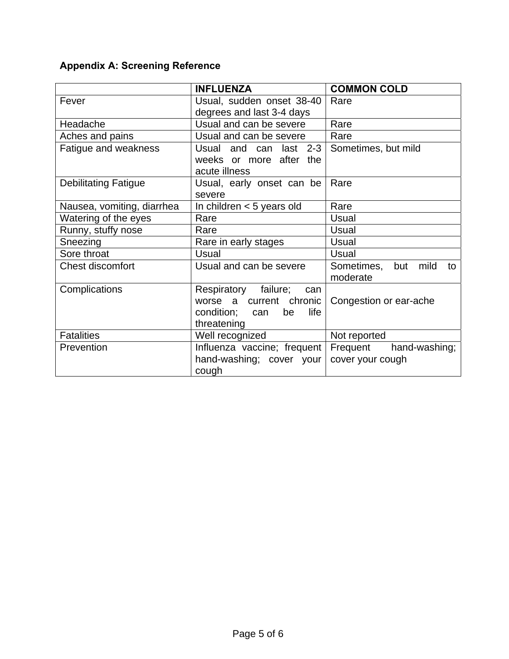# **Appendix A: Screening Reference**

|                             | <b>INFLUENZA</b>                | <b>COMMON COLD</b>                          |
|-----------------------------|---------------------------------|---------------------------------------------|
| Fever                       | Usual, sudden onset 38-40       | Rare                                        |
|                             | degrees and last 3-4 days       |                                             |
| Headache                    | Usual and can be severe         | Rare                                        |
| Aches and pains             | Usual and can be severe         | Rare                                        |
| Fatigue and weakness        | Usual and can last 2-3          | Sometimes, but mild                         |
|                             | weeks or more after the         |                                             |
|                             | acute illness                   |                                             |
| <b>Debilitating Fatigue</b> | Usual, early onset can be       | Rare                                        |
|                             | severe                          |                                             |
| Nausea, vomiting, diarrhea  | In children $<$ 5 years old     | Rare                                        |
| Watering of the eyes        | Rare                            | Usual                                       |
| Runny, stuffy nose          | Rare                            | Usual                                       |
| Sneezing                    | Rare in early stages            | <b>Usual</b>                                |
| Sore throat                 | Usual                           | Usual                                       |
| <b>Chest discomfort</b>     | Usual and can be severe         | Sometimes,<br>but<br>mild<br>to<br>moderate |
| Complications               | Respiratory failure;<br>can     |                                             |
|                             | worse a current chronic         | Congestion or ear-ache                      |
|                             | life<br>condition;<br>be<br>can |                                             |
|                             | threatening                     |                                             |
| <b>Fatalities</b>           | Well recognized                 | Not reported                                |
| Prevention                  | Influenza vaccine; frequent     | Frequent<br>hand-washing;                   |
|                             | hand-washing; cover your        | cover your cough                            |
|                             | cough                           |                                             |